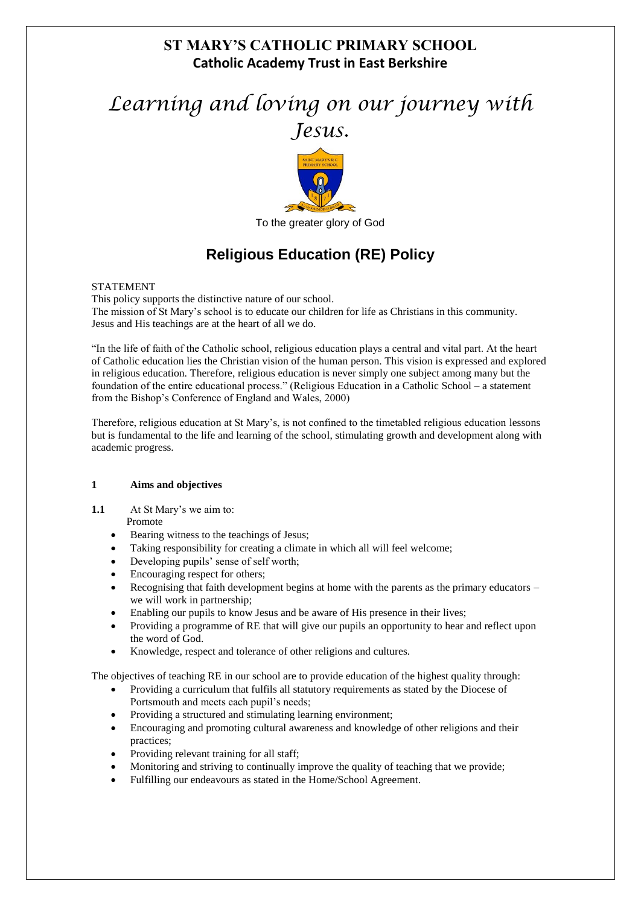## **ST MARY'S CATHOLIC PRIMARY SCHOOL Catholic Academy Trust in East Berkshire**

# *Learning and loving on our journey with Jesus.*



To the greater glory of God

## **Religious Education (RE) Policy**

#### STATEMENT

This policy supports the distinctive nature of our school. The mission of St Mary's school is to educate our children for life as Christians in this community. Jesus and His teachings are at the heart of all we do.

"In the life of faith of the Catholic school, religious education plays a central and vital part. At the heart of Catholic education lies the Christian vision of the human person. This vision is expressed and explored in religious education. Therefore, religious education is never simply one subject among many but the foundation of the entire educational process." (Religious Education in a Catholic School – a statement from the Bishop's Conference of England and Wales, 2000)

Therefore, religious education at St Mary's, is not confined to the timetabled religious education lessons but is fundamental to the life and learning of the school, stimulating growth and development along with academic progress.

#### **1 Aims and objectives**

**1.1** At St Mary's we aim to:

#### Promote

- Bearing witness to the teachings of Jesus;
- Taking responsibility for creating a climate in which all will feel welcome;
- Developing pupils' sense of self worth;
- Encouraging respect for others;
- Recognising that faith development begins at home with the parents as the primary educators we will work in partnership;
- Enabling our pupils to know Jesus and be aware of His presence in their lives;
- Providing a programme of RE that will give our pupils an opportunity to hear and reflect upon the word of God.
- Knowledge, respect and tolerance of other religions and cultures.

The objectives of teaching RE in our school are to provide education of the highest quality through:

- Providing a curriculum that fulfils all statutory requirements as stated by the Diocese of Portsmouth and meets each pupil's needs;
- Providing a structured and stimulating learning environment;
- Encouraging and promoting cultural awareness and knowledge of other religions and their practices;
- Providing relevant training for all staff;
- Monitoring and striving to continually improve the quality of teaching that we provide;
- Fulfilling our endeavours as stated in the Home/School Agreement.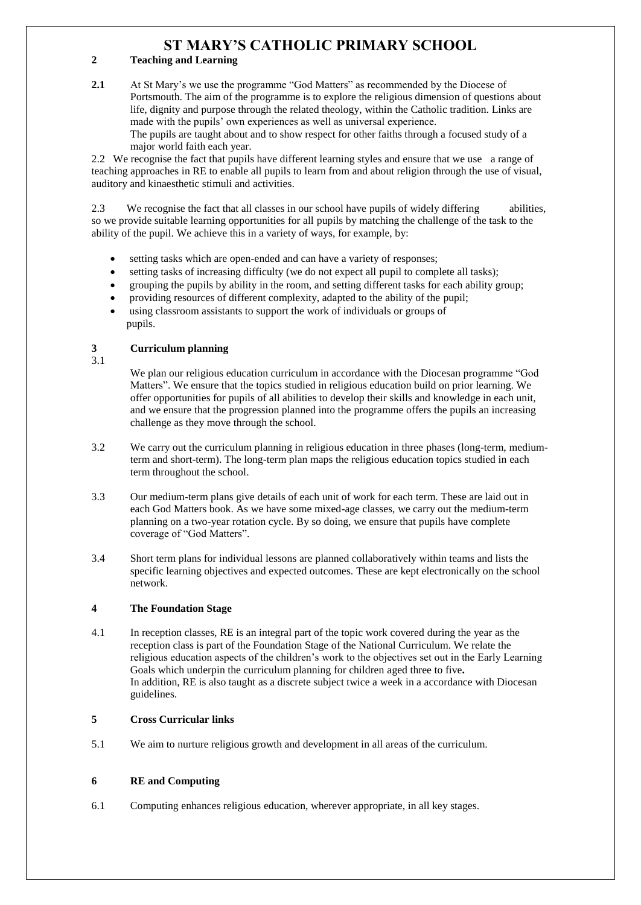## **ST MARY'S CATHOLIC PRIMARY SCHOOL**

#### **2 Teaching and Learning**

**2.1** At St Mary's we use the programme "God Matters" as recommended by the Diocese of Portsmouth. The aim of the programme is to explore the religious dimension of questions about life, dignity and purpose through the related theology, within the Catholic tradition. Links are made with the pupils' own experiences as well as universal experience. The pupils are taught about and to show respect for other faiths through a focused study of a major world faith each year.

2.2 We recognise the fact that pupils have different learning styles and ensure that we use a range of teaching approaches in RE to enable all pupils to learn from and about religion through the use of visual, auditory and kinaesthetic stimuli and activities.

2.3We recognise the fact that all classes in our school have pupils of widely differing abilities, so we provide suitable learning opportunities for all pupils by matching the challenge of the task to the ability of the pupil. We achieve this in a variety of ways, for example, by:

- setting tasks which are open-ended and can have a variety of responses;
- setting tasks of increasing difficulty (we do not expect all pupil to complete all tasks);
- grouping the pupils by ability in the room, and setting different tasks for each ability group;
- providing resources of different complexity, adapted to the ability of the pupil;
- using classroom assistants to support the work of individuals or groups of pupils.

#### **3 Curriculum planning**

3.1

We plan our religious education curriculum in accordance with the Diocesan programme "God Matters". We ensure that the topics studied in religious education build on prior learning. We offer opportunities for pupils of all abilities to develop their skills and knowledge in each unit, and we ensure that the progression planned into the programme offers the pupils an increasing challenge as they move through the school.

- 3.2 We carry out the curriculum planning in religious education in three phases (long-term, mediumterm and short-term). The long-term plan maps the religious education topics studied in each term throughout the school.
- 3.3 Our medium-term plans give details of each unit of work for each term. These are laid out in each God Matters book. As we have some mixed-age classes, we carry out the medium-term planning on a two-year rotation cycle. By so doing, we ensure that pupils have complete coverage of "God Matters".
- 3.4 Short term plans for individual lessons are planned collaboratively within teams and lists the specific learning objectives and expected outcomes. These are kept electronically on the school network.

#### **4 The Foundation Stage**

4.1 In reception classes, RE is an integral part of the topic work covered during the year as the reception class is part of the Foundation Stage of the National Curriculum. We relate the religious education aspects of the children's work to the objectives set out in the Early Learning Goals which underpin the curriculum planning for children aged three to five**.** In addition, RE is also taught as a discrete subject twice a week in a accordance with Diocesan guidelines.

#### **5 Cross Curricular links**

5.1 We aim to nurture religious growth and development in all areas of the curriculum.

#### **6 RE and Computing**

6.1 Computing enhances religious education, wherever appropriate, in all key stages.